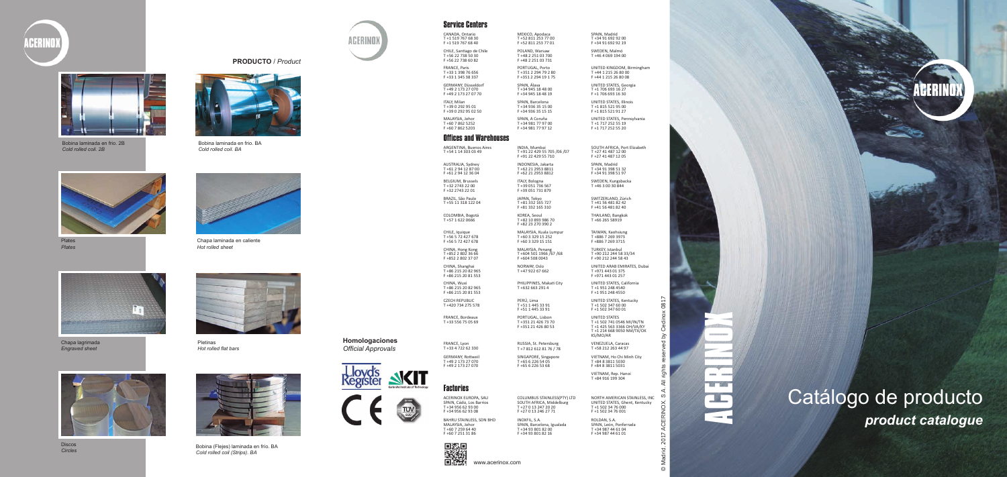# ACERINOX

Catálogo de producto *product catalogue*

© Madrid, 2017 ACERINOX, S.A. All rights reserved by Cedinox 0817

 $\widetilde{\sim}$ 

 $\odot$ 

0817

Ō  $\gtrsim$ 

**Homologaciones**  *Official Approvals*



 $TUV$ 





Bobina laminada en frio. 2B *Cold rolled coil. 2B*



Bobina laminada en frio. BA *Cold rolled coil. BA*



Plates *Plates*



Chapa laminada en caliente *Hot rolled sheet*



Chapa lagrimada *Engraved sheet* 



Pletinas *Hot rolled flat bars*



Discos



*Circles* Bobina (Flejes) laminada en frío. BA *Cold rolled coil (Strips). BA*



### **PRODUCTO** / *Product*

# Service Centers

CANADA, Ontario T +1 519 767 68 30 F +1 519 767 68 40 MEXICO, Apodaca T +52 811 253 77 00 F +52 811 253 77 01

SPAIN, Madrid T +34 91 692 92 00 F +34 91 692 92 19

CHILE, Santiago de Chile T +56 22 738 50 30 F +56 22 738 60 82

POLAND, Warsaw T +48 2 251 03 700 F +48 2 251 03 731 SWEDEN, Malmö T +46 4 069 194 00

FRANCE, Paris T +33 1 398 76 656 F +33 1 345 38 337

PORTUGAL, Porto T +351 2 294 79 2 80 F +351 2 294 19 1 75

UNITED KINGDOM, Birmingham T +44 1 215 26 80 00 F +44 1 215 26 80 08

GERMANY, Düsseldorf T +49 2 173 27 070 F +49 2 173 27 07 70

SPAIN, Álava T +34 945 18 48 00 F +34 945 18 48 19

UNITED STATES, Georgia T +1 706 693 16 27 F +1 706 693 16 30

ITALY, Milan T +39 0 292 95 01 F +39 0 292 95 02 50 SPAIN, Barcelona T +34 936 35 15 00 F +34 936 35 15 15

MALAYSIA, Johor T +60 7 862 5252 F +60 7 862 5203

UNITED STATES, Illinois T +1 815 521 95 00 F +1 815 521 91 27 UNITED STATES, Pennsylvania T +1 717 252 55 19

SPAIN, A Coruña T +34 981 77 97 00 F +34 981 77 97 12

F +1 717 252 55 20

## Offices and Warehouses

ARGENTINA, Buenos Aires T +54 1 14 303 03 49

INDIA, Mumbai T +91 22 429 55 705 /06 /07 F +91 22 429 55 710

SOUTH AFRICA, Port Elizabeth T +27 41 487 12 00 F +27 41 487 12 05

AUSTRALIA, Sydney T +61 2 94 12 87 00 F +61 2 94 12 36 04

INDONESIA, Jakarta T +62 21 2953 8811 F +62 21 2953 8812

SPAIN, Madrid T +34 91 398 51 32 F +34 91 398 51 97

BELGIUM, Brussels T +32 2743 22 00 F +32 2743 22 01

ITALY, Bologna T +39 051 736 567 F +39 051 731 879 SWEDEN, Kungsbacka T +46 3 00 30 844

BRAZIL, São Paulo T +55 11 318 122 04 JAPAN, Tokyo T +81 332 165 727 F +81 332 165 310 SWITZERLAND, Zürich T +41 56 481 82 42 F +41 56 481 82 40

COLOMBIA, Bogotá T +57 1 622 0666

KOREA, Seoul T +82 10 893 986 70 F +82 23 270 390 2

THAILAND, Bangkok T +66 265 58919

CHILE, Iquique T +56 5 72 427 678 F +56 5 72 427 678 MALAYSIA, Kuala Lumpur T +60 3 329 15 252 F +60 3 329 15 151

CHINA, Hong Kong T +852 2 802 36 66 F +852 2 802 37 07

TAIWAN, Kaohsiung T +886 7 269 3973 F +886 7 269 3715 TURKEY, Istanbul

MALAYSIA, Penang T +604 501 1966 /67 /68 F +604 508 0043

T +90 212 244 58 33/34 F +90 212 244 58 43

CHINA, Shanghai T +86 215 20 82 965 F +86 215 20 81 553

NORWAY, Oslo T +47 922 67 662

UNITED ARAB EMIRATES, Dubai T +971 443 01 375 F +971 443 01 257

CHINA, Wuxi T +86 215 20 82 965 F +86 215 20 81 553 PHILIPPINES, Makati City T +632 663 291 4

UNITED STATES, California T +1 951 248 4540 F +1 951 248 4550

CZECH REPUBLIC T +420 734 275 578

PERÚ, Lima T +51 1 445 33 91 F +51 1 445 33 91

FRANCE, Bordeaux T +33 556 75 05 69

PORTUGAL, Lisbon T +351 21 426 73 70 F +351 21 426 80 53

UNITED STATES, Kentucky T +1 502 347 60 00 F +1 502 347 60 01 UNITED STATES T +1 502 741 0546 MI/IN/TN T +1 425 563 3366 OH/VA/KY T +1 214 668 9050 NM/TX/OK KS/MO/AR

FRANCE, Lyon T +33 4 722 62 330

RUSSIA, St. Petersburg T +7 812 612 81 76 / 78 VENEZUELA, Caracas T +58 212 263 44 97

GERMANY, Rottweil T +49 2 173 27 070

F +49 2 173 27 070

SINGAPORE, Singapore T +65 6 226 54 05 F +65 6 226 53 68

VIETNAM, Ho Chi Minh City T +84 8 3811 5030 F +84 8 3811 5031

VIETNAM, Rep. Hanoi T +84 916 199 304

# Factories

ACERINOX EUROPA, SAU SPAIN, Cádiz, Los Barrios T +34 956 62 93 00 F +34 956 62 93 08

COLUMBUS STAINLESS(PTY) LTD SOUTH AFRICA, Middelburg T +27 0 13 247 20 20 F +27 0 13 246 27 71

BAHRU STAINLESS, SDN BHD MALAYSIA, Johor T +60 7 259 64 40 F +60 7 251 31 86



NORTH AMERICAN STAINLESS, INC UNITED STATES, Ghent, Kentucky T +1 502 34 76 000 F +1 502 34 76 001 ROLDAN, S.A. SPAIN, León, Ponferrada T +34 987 44 61 04 F +34 987 44 61 01

INOXFIL, S.A. SPAIN, Barcelona, Igualada T +34 93 801 82 00 F +34 93 801 82 16